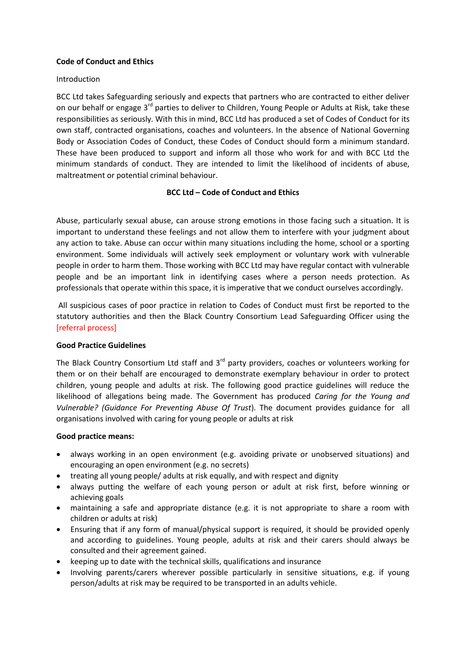### **Code of Conduct and Ethics**

### Introduction

BCC Ltd takes Safeguarding seriously and expects that partners who are contracted to either deliver on our behalf or engage 3<sup>rd</sup> parties to deliver to Children, Young People or Adults at Risk, take these responsibilities as seriously. With this in mind, BCC Ltd has produced a set of Codes of Conduct for its own staff, contracted organisations, coaches and volunteers. In the absence of National Governing Body or Association Codes of Conduct, these Codes of Conduct should form a minimum standard. These have been produced to support and inform all those who work for and with BCC Ltd the minimum standards of conduct. They are intended to limit the likelihood of incidents of abuse, maltreatment or potential criminal behaviour.

### **BCC Ltd – Code of Conduct and Ethics**

Abuse, particularly sexual abuse, can arouse strong emotions in those facing such a situation. It is important to understand these feelings and not allow them to interfere with your judgment about any action to take. Abuse can occur within many situations including the home, school or a sporting environment. Some individuals will actively seek employment or voluntary work with vulnerable people in order to harm them. Those working with BCC Ltd may have regular contact with vulnerable people and be an important link in identifying cases where a person needs protection. As professionals that operate within this space, it is imperative that we conduct ourselves accordingly.

All suspicious cases of poor practice in relation to Codes of Conduct must first be reported to the statutory authorities and then the Black Country Consortium Lead Safeguarding Officer using the [referral process]

#### **Good Practice Guidelines**

The Black Country Consortium Ltd staff and  $3<sup>rd</sup>$  party providers, coaches or volunteers working for them or on their behalf are encouraged to demonstrate exemplary behaviour in order to protect children, young people and adults at risk. The following good practice guidelines will reduce the likelihood of allegations being made. The Government has produced *Caring for the Young and Vulnerable? (Guidance For Preventing Abuse Of Trust*). The document provides guidance for all organisations involved with caring for young people or adults at risk

#### **Good practice means:**

- always working in an open environment (e.g. avoiding private or unobserved situations) and encouraging an open environment (e.g. no secrets)
- treating all young people/ adults at risk equally, and with respect and dignity
- always putting the welfare of each young person or adult at risk first, before winning or achieving goals
- maintaining a safe and appropriate distance (e.g. it is not appropriate to share a room with children or adults at risk)
- Ensuring that if any form of manual/physical support is required, it should be provided openly and according to guidelines. Young people, adults at risk and their carers should always be consulted and their agreement gained.
- keeping up to date with the technical skills, qualifications and insurance
- Involving parents/carers wherever possible particularly in sensitive situations, e.g. if young person/adults at risk may be required to be transported in an adults vehicle.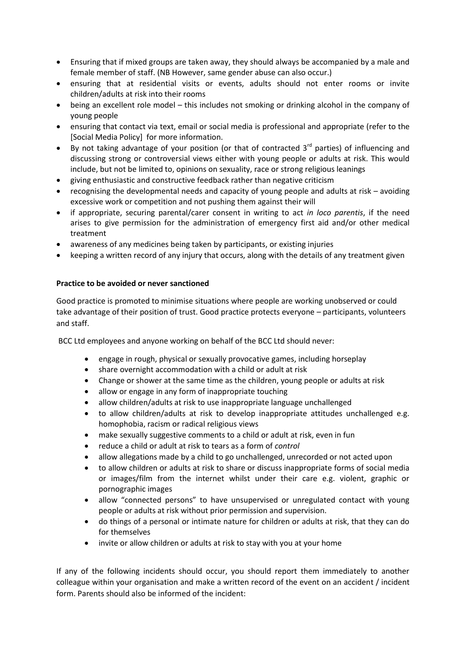- Ensuring that if mixed groups are taken away, they should always be accompanied by a male and female member of staff. (NB However, same gender abuse can also occur.)
- ensuring that at residential visits or events, adults should not enter rooms or invite children/adults at risk into their rooms
- being an excellent role model this includes not smoking or drinking alcohol in the company of young people
- ensuring that contact via text, email or social media is professional and appropriate (refer to the [Social Media Policy] for more information.
- $\bullet$  By not taking advantage of your position (or that of contracted 3<sup>rd</sup> parties) of influencing and discussing strong or controversial views either with young people or adults at risk. This would include, but not be limited to, opinions on sexuality, race or strong religious leanings
- giving enthusiastic and constructive feedback rather than negative criticism
- recognising the developmental needs and capacity of young people and adults at risk avoiding excessive work or competition and not pushing them against their will
- if appropriate, securing parental/carer consent in writing to act *in loco parentis*, if the need arises to give permission for the administration of emergency first aid and/or other medical treatment
- awareness of any medicines being taken by participants, or existing injuries
- keeping a written record of any injury that occurs, along with the details of any treatment given

#### **Practice to be avoided or never sanctioned**

Good practice is promoted to minimise situations where people are working unobserved or could take advantage of their position of trust. Good practice protects everyone – participants, volunteers and staff.

BCC Ltd employees and anyone working on behalf of the BCC Ltd should never:

- engage in rough, physical or sexually provocative games, including horseplay
- share overnight accommodation with a child or adult at risk
- Change or shower at the same time as the children, young people or adults at risk
- allow or engage in any form of inappropriate touching
- allow children/adults at risk to use inappropriate language unchallenged
- to allow children/adults at risk to develop inappropriate attitudes unchallenged e.g. homophobia, racism or radical religious views
- make sexually suggestive comments to a child or adult at risk, even in fun
- reduce a child or adult at risk to tears as a form of *control*
- allow allegations made by a child to go unchallenged, unrecorded or not acted upon
- to allow children or adults at risk to share or discuss inappropriate forms of social media or images/film from the internet whilst under their care e.g. violent, graphic or pornographic images
- allow "connected persons" to have unsupervised or unregulated contact with young people or adults at risk without prior permission and supervision.
- do things of a personal or intimate nature for children or adults at risk, that they can do for themselves
- invite or allow children or adults at risk to stay with you at your home

If any of the following incidents should occur, you should report them immediately to another colleague within your organisation and make a written record of the event on an accident / incident form. Parents should also be informed of the incident: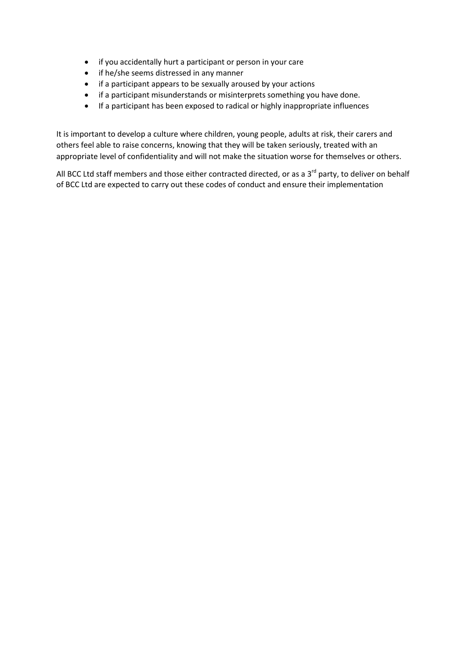- if you accidentally hurt a participant or person in your care
- if he/she seems distressed in any manner
- if a participant appears to be sexually aroused by your actions
- if a participant misunderstands or misinterprets something you have done.
- If a participant has been exposed to radical or highly inappropriate influences

It is important to develop a culture where children, young people, adults at risk, their carers and others feel able to raise concerns, knowing that they will be taken seriously, treated with an appropriate level of confidentiality and will not make the situation worse for themselves or others.

All BCC Ltd staff members and those either contracted directed, or as a  $3<sup>rd</sup>$  party, to deliver on behalf of BCC Ltd are expected to carry out these codes of conduct and ensure their implementation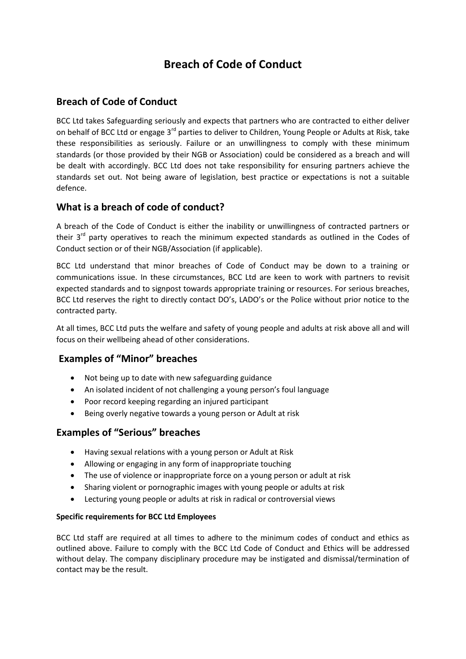# **Breach of Code of Conduct**

# **Breach of Code of Conduct**

BCC Ltd takes Safeguarding seriously and expects that partners who are contracted to either deliver on behalf of BCC Ltd or engage 3<sup>rd</sup> parties to deliver to Children, Young People or Adults at Risk, take these responsibilities as seriously. Failure or an unwillingness to comply with these minimum standards (or those provided by their NGB or Association) could be considered as a breach and will be dealt with accordingly. BCC Ltd does not take responsibility for ensuring partners achieve the standards set out. Not being aware of legislation, best practice or expectations is not a suitable defence.

# **What is a breach of code of conduct?**

A breach of the Code of Conduct is either the inability or unwillingness of contracted partners or their 3<sup>rd</sup> party operatives to reach the minimum expected standards as outlined in the Codes of Conduct section or of their NGB/Association (if applicable).

BCC Ltd understand that minor breaches of Code of Conduct may be down to a training or communications issue. In these circumstances, BCC Ltd are keen to work with partners to revisit expected standards and to signpost towards appropriate training or resources. For serious breaches, BCC Ltd reserves the right to directly contact DO's, LADO's or the Police without prior notice to the contracted party.

At all times, BCC Ltd puts the welfare and safety of young people and adults at risk above all and will focus on their wellbeing ahead of other considerations.

# **Examples of "Minor" breaches**

- Not being up to date with new safeguarding guidance
- An isolated incident of not challenging a young person's foul language
- Poor record keeping regarding an injured participant
- Being overly negative towards a young person or Adult at risk

# **Examples of "Serious" breaches**

- Having sexual relations with a young person or Adult at Risk
- Allowing or engaging in any form of inappropriate touching
- The use of violence or inappropriate force on a young person or adult at risk
- Sharing violent or pornographic images with young people or adults at risk
- Lecturing young people or adults at risk in radical or controversial views

### **Specific requirements for BCC Ltd Employees**

BCC Ltd staff are required at all times to adhere to the minimum codes of conduct and ethics as outlined above. Failure to comply with the BCC Ltd Code of Conduct and Ethics will be addressed without delay. The company disciplinary procedure may be instigated and dismissal/termination of contact may be the result.